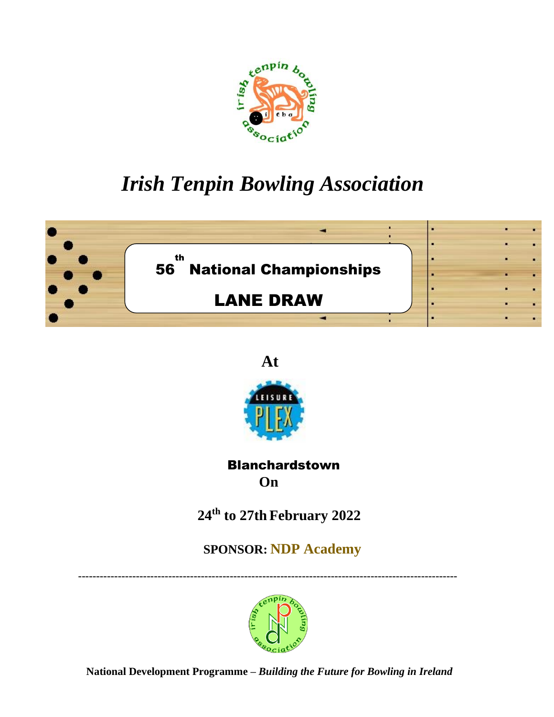

# *Irish Tenpin Bowling Association*





# Blanchardstown  **On**

 **24 th to 27th February 2022**

 **SPONSOR: NDP Academy**

 **---------------------------------------------------------------------------------------------------------**



 **National Development Programme –** *Building the Future for Bowling in Ireland*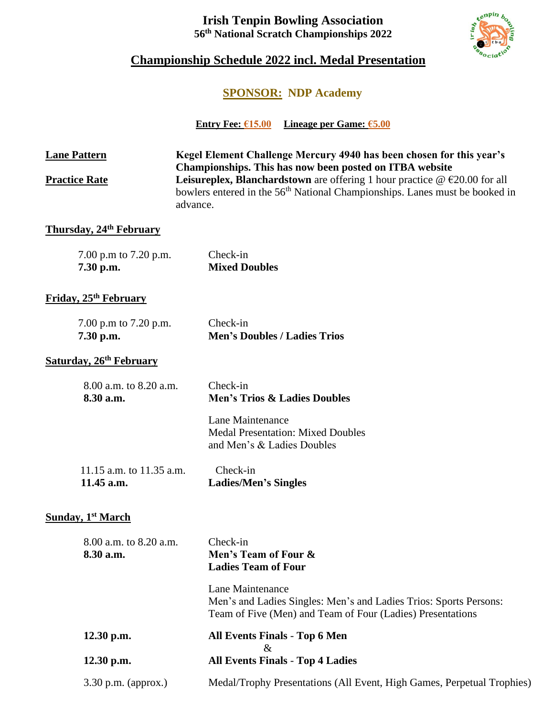# **Irish Tenpin Bowling Association 56 th National Scratch Championships 2022**



# **Championship Schedule 2022 incl. Medal Presentation**

# **SPONSOR: NDP Academy**

**Entry Fee: €15.00 Lineage per Game: €5.00**

| <b>Lane Pattern</b>                    | Kegel Element Challenge Mercury 4940 has been chosen for this year's<br>Championships. This has now been posted on ITBA website                                                            |  |
|----------------------------------------|--------------------------------------------------------------------------------------------------------------------------------------------------------------------------------------------|--|
| <b>Practice Rate</b>                   | Leisureplex, Blanchardstown are offering 1 hour practice $\omega \in 20.00$ for all<br>bowlers entered in the 56 <sup>th</sup> National Championships. Lanes must be booked in<br>advance. |  |
| <b>Thursday, 24th February</b>         |                                                                                                                                                                                            |  |
| 7.00 p.m to 7.20 p.m.<br>7.30 p.m.     | Check-in<br><b>Mixed Doubles</b>                                                                                                                                                           |  |
| Friday, 25 <sup>th</sup> February      |                                                                                                                                                                                            |  |
| 7.00 p.m to 7.20 p.m.<br>7.30 p.m.     | Check-in<br><b>Men's Doubles / Ladies Trios</b>                                                                                                                                            |  |
| Saturday, 26 <sup>th</sup> February    |                                                                                                                                                                                            |  |
| 8.00 a.m. to 8.20 a.m.<br>8.30 a.m.    | Check-in<br><b>Men's Trios &amp; Ladies Doubles</b>                                                                                                                                        |  |
|                                        | Lane Maintenance<br><b>Medal Presentation: Mixed Doubles</b><br>and Men's & Ladies Doubles                                                                                                 |  |
| 11.15 a.m. to 11.35 a.m.<br>11.45 a.m. | Check-in<br><b>Ladies/Men's Singles</b>                                                                                                                                                    |  |
| <b>Sunday, 1st March</b>               |                                                                                                                                                                                            |  |
| 8.00 a.m. to 8.20 a.m.<br>8.30 a.m.    | Check-in<br>Men's Team of Four &<br><b>Ladies Team of Four</b>                                                                                                                             |  |
|                                        | Lane Maintenance<br>Men's and Ladies Singles: Men's and Ladies Trios: Sports Persons:<br>Team of Five (Men) and Team of Four (Ladies) Presentations                                        |  |
| 12.30 p.m.                             | <b>All Events Finals - Top 6 Men</b><br>$\&$                                                                                                                                               |  |
| 12.30 p.m.                             | <b>All Events Finals - Top 4 Ladies</b>                                                                                                                                                    |  |
| 3.30 p.m. (approx.)                    | Medal/Trophy Presentations (All Event, High Games, Perpetual Trophies)                                                                                                                     |  |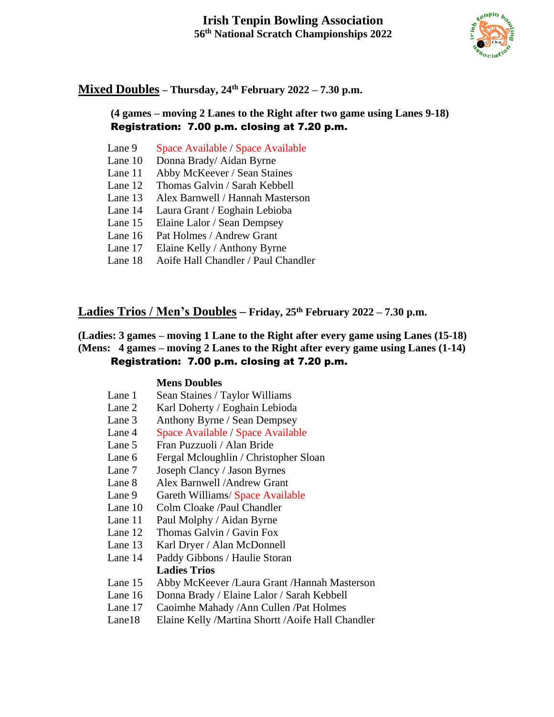

# **Mixed Doubles – Thursday, 24 th February 2022 – 7.30 p.m.**

# **(4 games – moving 2 Lanes to the Right after two game using Lanes 9-18)** Registration: 7.00 p.m. closing at 7.20 p.m.

- Lane 9 Space Available / Space Available
- Lane 10 Donna Brady/ Aidan Byrne
- Lane 11 Abby McKeever / Sean Staines
- Lane 12 Thomas Galvin / Sarah Kebbell
- Lane 13 Alex Barnwell / Hannah Masterson
- Lane 14 Laura Grant / Eoghain Lebioba
- Lane 15 Elaine Lalor / Sean Dempsey
- Lane 16 Pat Holmes / Andrew Grant
- Lane 17 Elaine Kelly / Anthony Byrne
- Lane 18 Aoife Hall Chandler / Paul Chandler

# **Ladies Trios / Men's Doubles – Friday, 25 th February 2022 – 7.30 p.m.**

### **(Ladies: 3 games – moving 1 Lane to the Right after every game using Lanes (15-18) (Mens: 4 games – moving 2 Lanes to the Right after every game using Lanes (1-14)** Registration: 7.00 p.m. closing at 7.20 p.m.

## **Mens Doubles**

- Lane 1 Sean Staines / Taylor Williams
- Lane 2 Karl Doherty / Eoghain Lebioda
- Lane 3 Anthony Byrne / Sean Dempsey
- Lane 4 Space Available / Space Available
- Lane 5 Fran Puzzuoli / Alan Bride
- Lane 6 Fergal Mcloughlin / Christopher Sloan
- Lane 7 Joseph Clancy / Jason Byrnes
- Lane 8 Alex Barnwell /Andrew Grant
- Lane 9 Gareth Williams/ Space Available
- Lane 10 Colm Cloake /Paul Chandler
- Lane 11 Paul Molphy / Aidan Byrne
- Lane 12 Thomas Galvin / Gavin Fox
- Lane 13 Karl Dryer / Alan McDonnell
- Lane 14 Paddy Gibbons / Haulie Storan **Ladies Trios**
- Lane 15 Abby McKeever /Laura Grant /Hannah Masterson
- Lane 16 Donna Brady / Elaine Lalor / Sarah Kebbell
- Lane 17 Caoimhe Mahady /Ann Cullen /Pat Holmes
- Lane18 Elaine Kelly /Martina Shortt /Aoife Hall Chandler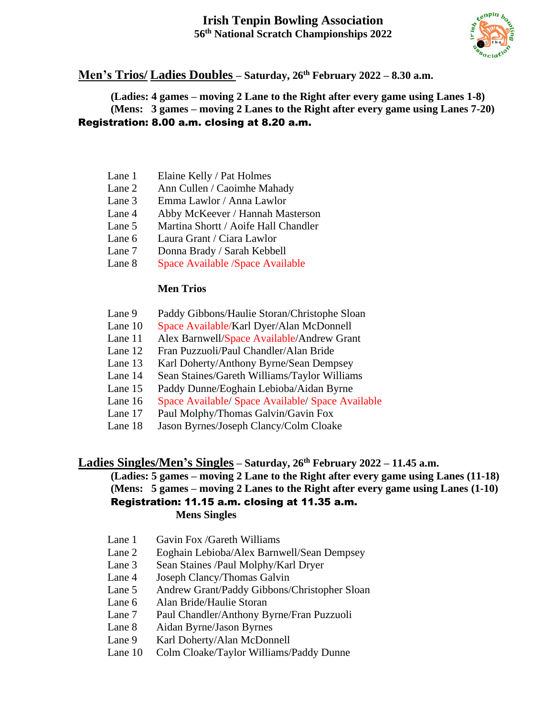# **Irish Tenpin Bowling Association 56 th National Scratch Championships 2022**



#### **Men's Trios/ Ladies Doubles – Saturday, 26 th February 2022 – 8.30 a.m.**

**(Ladies: 4 games – moving 2 Lane to the Right after every game using Lanes 1-8) (Mens: 3 games – moving 2 Lanes to the Right after every game using Lanes 7-20)**  Registration: 8.00 a.m. closing at 8.20 a.m.

- Lane 1 Elaine Kelly / Pat Holmes
- Lane 2 Ann Cullen / Caoimhe Mahady
- Lane 3 Emma Lawlor / Anna Lawlor
- Lane 4 Abby McKeever / Hannah Masterson
- Lane 5 Martina Shortt / Aoife Hall Chandler
- Lane 6 Laura Grant / Ciara Lawlor
- Lane 7 Donna Brady / Sarah Kebbell
- Lane 8 Space Available /Space Available

### **Men Trios**

- Lane 9 Paddy Gibbons/Haulie Storan/Christophe Sloan
- Lane 10 Space Available/Karl Dyer/Alan McDonnell
- Lane 11 Alex Barnwell/Space Available/Andrew Grant
- Lane 12 Fran Puzzuoli/Paul Chandler/Alan Bride
- Lane 13 Karl Doherty/Anthony Byrne/Sean Dempsey
- Lane 14 Sean Staines/Gareth Williams/Taylor Williams
- Lane 15 Paddy Dunne/Eoghain Lebioba/Aidan Byrne
- Lane 16 Space Available/ Space Available/ Space Available
- Lane 17 Paul Molphy/Thomas Galvin/Gavin Fox
- Lane 18 Jason Byrnes/Joseph Clancy/Colm Cloake

# **Ladies Singles/Men's Singles – Saturday, 26 th February 2022 – 11.45 a.m.**

**(Ladies: 5 games – moving 2 Lane to the Right after every game using Lanes (11-18) (Mens: 5 games – moving 2 Lanes to the Right after every game using Lanes (1-10)** Registration: 11.15 a.m. closing at 11.35 a.m. **Mens Singles**

- Lane 1 Gavin Fox /Gareth Williams
- Lane 2 Eoghain Lebioba/Alex Barnwell/Sean Dempsey
- Lane 3 Sean Staines /Paul Molphy/Karl Dryer
- Lane 4 Joseph Clancy/Thomas Galvin
- Lane 5 Andrew Grant/Paddy Gibbons/Christopher Sloan
- Lane 6 Alan Bride/Haulie Storan
- Lane 7 Paul Chandler/Anthony Byrne/Fran Puzzuoli
- Lane 8 Aidan Byrne/Jason Byrnes
- Lane 9 Karl Doherty/Alan McDonnell
- Lane 10 Colm Cloake/Taylor Williams/Paddy Dunne